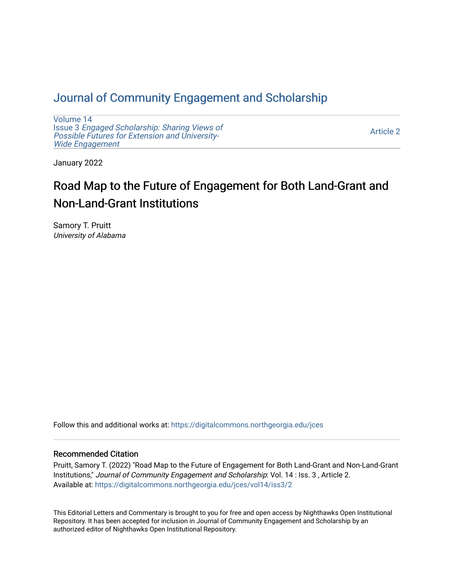# [Journal of Community Engagement and Scholarship](https://digitalcommons.northgeorgia.edu/jces)

[Volume 14](https://digitalcommons.northgeorgia.edu/jces/vol14) Issue 3 [Engaged Scholarship: Sharing Views of](https://digitalcommons.northgeorgia.edu/jces/vol14/iss3) [Possible Futures for Extension and University-](https://digitalcommons.northgeorgia.edu/jces/vol14/iss3)[Wide Engagement](https://digitalcommons.northgeorgia.edu/jces/vol14/iss3) 

[Article 2](https://digitalcommons.northgeorgia.edu/jces/vol14/iss3/2) 

January 2022

# Road Map to the Future of Engagement for Both Land-Grant and Non-Land-Grant Institutions

Samory T. Pruitt University of Alabama

Follow this and additional works at: [https://digitalcommons.northgeorgia.edu/jces](https://digitalcommons.northgeorgia.edu/jces?utm_source=digitalcommons.northgeorgia.edu%2Fjces%2Fvol14%2Fiss3%2F2&utm_medium=PDF&utm_campaign=PDFCoverPages)

## Recommended Citation

Pruitt, Samory T. (2022) "Road Map to the Future of Engagement for Both Land-Grant and Non-Land-Grant Institutions," Journal of Community Engagement and Scholarship: Vol. 14 : Iss. 3 , Article 2. Available at: [https://digitalcommons.northgeorgia.edu/jces/vol14/iss3/2](https://digitalcommons.northgeorgia.edu/jces/vol14/iss3/2?utm_source=digitalcommons.northgeorgia.edu%2Fjces%2Fvol14%2Fiss3%2F2&utm_medium=PDF&utm_campaign=PDFCoverPages) 

This Editorial Letters and Commentary is brought to you for free and open access by Nighthawks Open Institutional Repository. It has been accepted for inclusion in Journal of Community Engagement and Scholarship by an authorized editor of Nighthawks Open Institutional Repository.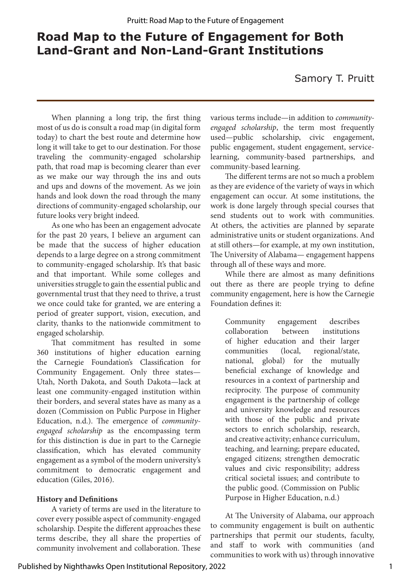# **Road Map to the Future of Engagement for Both Land-Grant and Non-Land-Grant Institutions**

Samory T. Pruitt

When planning a long trip, the first thing most of us do is consult a road map (in digital form today) to chart the best route and determine how long it will take to get to our destination. For those traveling the community-engaged scholarship path, that road map is becoming clearer than ever as we make our way through the ins and outs and ups and downs of the movement. As we join hands and look down the road through the many directions of community-engaged scholarship, our future looks very bright indeed.

As one who has been an engagement advocate for the past 20 years, I believe an argument can be made that the success of higher education depends to a large degree on a strong commitment to community-engaged scholarship. It's that basic and that important. While some colleges and universities struggle to gain the essential public and governmental trust that they need to thrive, a trust we once could take for granted, we are entering a period of greater support, vision, execution, and clarity, thanks to the nationwide commitment to engaged scholarship.

That commitment has resulted in some 360 institutions of higher education earning the Carnegie Foundation's Classification for Community Engagement. Only three states— Utah, North Dakota, and South Dakota—lack at least one community-engaged institution within their borders, and several states have as many as a dozen (Commission on Public Purpose in Higher Education, n.d.). The emergence of *communityengaged scholarship* as the encompassing term for this distinction is due in part to the Carnegie classification, which has elevated community engagement as a symbol of the modern university's commitment to democratic engagement and education (Giles, 2016).

## **History and Definitions**

A variety of terms are used in the literature to cover every possible aspect of community-engaged scholarship. Despite the different approaches these terms describe, they all share the properties of community involvement and collaboration. These

various terms include—in addition to *communityengaged scholarship*, the term most frequently used—public scholarship, civic engagement, public engagement, student engagement, servicelearning, community-based partnerships, and community-based learning.

The different terms are not so much a problem as they are evidence of the variety of ways in which engagement can occur. At some institutions, the work is done largely through special courses that send students out to work with communities. At others, the activities are planned by separate administrative units or student organizations. And at still others—for example, at my own institution, The University of Alabama— engagement happens through all of these ways and more.

While there are almost as many definitions out there as there are people trying to define community engagement, here is how the Carnegie Foundation defines it:

Community engagement describes collaboration between institutions of higher education and their larger communities (local, regional/state, national, global) for the mutually beneficial exchange of knowledge and resources in a context of partnership and reciprocity. The purpose of community engagement is the partnership of college and university knowledge and resources with those of the public and private sectors to enrich scholarship, research, and creative activity; enhance curriculum, teaching, and learning; prepare educated, engaged citizens; strengthen democratic values and civic responsibility; address critical societal issues; and contribute to the public good. (Commission on Public Purpose in Higher Education, n.d.)

At The University of Alabama, our approach to community engagement is built on authentic partnerships that permit our students, faculty, and staff to work with communities (and communities to work with us) through innovative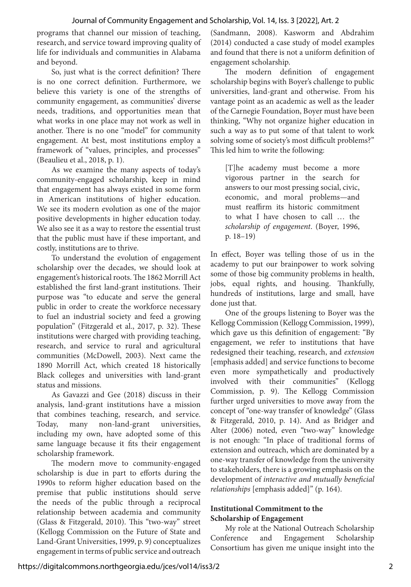programs that channel our mission of teaching, research, and service toward improving quality of life for individuals and communities in Alabama and beyond.

So, just what is the correct definition? There is no one correct definition. Furthermore, we believe this variety is one of the strengths of community engagement, as communities' diverse needs, traditions, and opportunities mean that what works in one place may not work as well in another. There is no one "model" for community engagement. At best, most institutions employ a framework of "values, principles, and processes" (Beaulieu et al., 2018, p. 1).

As we examine the many aspects of today's community-engaged scholarship, keep in mind that engagement has always existed in some form in American institutions of higher education. We see its modern evolution as one of the major positive developments in higher education today. We also see it as a way to restore the essential trust that the public must have if these important, and costly, institutions are to thrive.

To understand the evolution of engagement scholarship over the decades, we should look at engagement's historical roots. The 1862 Morrill Act established the first land-grant institutions. Their purpose was "to educate and serve the general public in order to create the workforce necessary to fuel an industrial society and feed a growing population" (Fitzgerald et al., 2017, p. 32). These institutions were charged with providing teaching, research, and service to rural and agricultural communities (McDowell, 2003). Next came the 1890 Morrill Act, which created 18 historically Black colleges and universities with land-grant status and missions.

As Gavazzi and Gee (2018) discuss in their analysis, land-grant institutions have a mission that combines teaching, research, and service. Today, many non-land-grant universities, including my own, have adopted some of this same language because it fits their engagement scholarship framework.

The modern move to community-engaged scholarship is due in part to efforts during the 1990s to reform higher education based on the premise that public institutions should serve the needs of the public through a reciprocal relationship between academia and community (Glass & Fitzgerald, 2010). This "two-way" street (Kellogg Commission on the Future of State and Land-Grant Universities, 1999, p. 9) conceptualizes engagement in terms of public service and outreach

(Sandmann, 2008). Kasworm and Abdrahim (2014) conducted a case study of model examples and found that there is not a uniform definition of engagement scholarship.

The modern definition of engagement scholarship begins with Boyer's challenge to public universities, land-grant and otherwise. From his vantage point as an academic as well as the leader of the Carnegie Foundation, Boyer must have been thinking, "Why not organize higher education in such a way as to put some of that talent to work solving some of society's most difficult problems?" This led him to write the following:

[T]he academy must become a more vigorous partner in the search for answers to our most pressing social, civic, economic, and moral problems—and must reaffirm its historic commitment to what I have chosen to call … the *scholarship of engagement*. (Boyer, 1996, p. 18–19)

In effect, Boyer was telling those of us in the academy to put our brainpower to work solving some of those big community problems in health, jobs, equal rights, and housing. Thankfully, hundreds of institutions, large and small, have done just that.

One of the groups listening to Boyer was the Kellogg Commission (Kellogg Commission, 1999), which gave us this definition of engagement: "By engagement, we refer to institutions that have redesigned their teaching, research, and *extension* [emphasis added] and service functions to become even more sympathetically and productively involved with their communities" (Kellogg Commission, p. 9). The Kellogg Commission further urged universities to move away from the concept of "one-way transfer of knowledge" (Glass & Fitzgerald, 2010, p. 14). And as Bridger and Alter (2006) noted, even "two-way" knowledge is not enough: "In place of traditional forms of extension and outreach, which are dominated by a one-way transfer of knowledge from the university to stakeholders, there is a growing emphasis on the development of *interactive and mutually beneficial relationships* [emphasis added]" (p. 164).

### **Institutional Commitment to the Scholarship of Engagement**

My role at the National Outreach Scholarship Conference and Engagement Scholarship Consortium has given me unique insight into the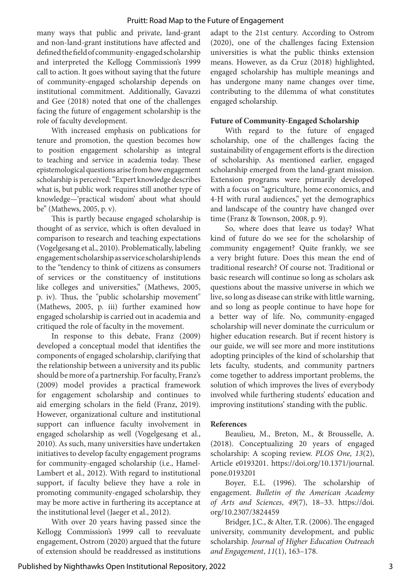#### Pruitt: Road Map to the Future of Engagement

many ways that public and private, land-grant and non-land-grant institutions have affected and defined the field of community-engaged scholarship and interpreted the Kellogg Commission's 1999 call to action. It goes without saying that the future of community-engaged scholarship depends on institutional commitment. Additionally, Gavazzi and Gee (2018) noted that one of the challenges facing the future of engagement scholarship is the role of faculty development.

With increased emphasis on publications for tenure and promotion, the question becomes how to position engagement scholarship as integral to teaching and service in academia today. These epistemological questions arise from how engagement scholarship is perceived: "Expert knowledge describes what is, but public work requires still another type of knowledge—'practical wisdom' about what should be" (Mathews, 2005, p. v).

This is partly because engaged scholarship is thought of as service, which is often devalued in comparison to research and teaching expectations (Vogelgesang et al., 2010). Problematically, labeling engagement scholarship as service scholarship lends to the "tendency to think of citizens as consumers of services or the constituency of institutions like colleges and universities," (Mathews, 2005, p. iv). Thus, the "public scholarship movement" (Mathews, 2005, p. iii) further examined how engaged scholarship is carried out in academia and critiqued the role of faculty in the movement.

In response to this debate, Franz (2009) developed a conceptual model that identifies the components of engaged scholarship, clarifying that the relationship between a university and its public should be more of a partnership. For faculty, Franz's (2009) model provides a practical framework for engagement scholarship and continues to aid emerging scholars in the field (Franz, 2019). However, organizational culture and institutional support can influence faculty involvement in engaged scholarship as well (Vogelgesang et al., 2010). As such, many universities have undertaken initiatives to develop faculty engagement programs for community-engaged scholarship (i.e., Hamel-Lambert et al., 2012). With regard to institutional support, if faculty believe they have a role in promoting community-engaged scholarship, they may be more active in furthering its acceptance at the institutional level (Jaeger et al., 2012).

With over 20 years having passed since the Kellogg Commission's 1999 call to reevaluate engagement, Ostrom (2020) argued that the future of extension should be readdressed as institutions adapt to the 21st century. According to Ostrom (2020), one of the challenges facing Extension universities is what the public thinks extension means. However, as da Cruz (2018) highlighted, engaged scholarship has multiple meanings and has undergone many name changes over time, contributing to the dilemma of what constitutes engaged scholarship.

#### **Future of Community-Engaged Scholarship**

With regard to the future of engaged scholarship, one of the challenges facing the sustainability of engagement efforts is the direction of scholarship. As mentioned earlier, engaged scholarship emerged from the land-grant mission. Extension programs were primarily developed with a focus on "agriculture, home economics, and 4-H with rural audiences," yet the demographics and landscape of the country have changed over time (Franz & Townson, 2008, p. 9).

So, where does that leave us today? What kind of future do we see for the scholarship of community engagement? Quite frankly, we see a very bright future. Does this mean the end of traditional research? Of course not. Traditional or basic research will continue so long as scholars ask questions about the massive universe in which we live, so long as disease can strike with little warning, and so long as people continue to have hope for a better way of life. No, community-engaged scholarship will never dominate the curriculum or higher education research. But if recent history is our guide, we will see more and more institutions adopting principles of the kind of scholarship that lets faculty, students, and community partners come together to address important problems, the solution of which improves the lives of everybody involved while furthering students' education and improving institutions' standing with the public.

#### **References**

Beaulieu, M., Breton, M., & Brousselle, A. (2018). Conceptualizing 20 years of engaged scholarship: A scoping review. *PLOS One, 13*(2), Article e0193201. https://doi.org/10.1371/journal. pone.0193201

Boyer, E.L. (1996). The scholarship of engagement. *Bulletin of the American Academy of Arts and Sciences*, *49*(7), 18–33. https://doi. org/10.2307/3824459

Bridger, J.C., & Alter, T.R. (2006). The engaged university, community development, and public scholarship. *Journal of Higher Education Outreach and Engagement*, *11*(1), 163–178.